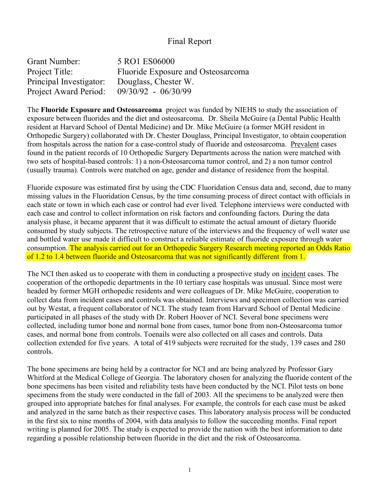## Final Report

| Grant Number:           | 5 RO1 ES06000                      |
|-------------------------|------------------------------------|
| Project Title:          | Fluoride Exposure and Osteosarcoma |
| Principal Investigator: | Douglass, Chester W.               |
| Project Award Period:   | 09/30/92 - 06/30/99                |

The **Fluoride Exposure and Osteosarcoma** project was funded by NIEHS to study the association of exposure between fluorides and the diet and osteosarcoma. Dr. Sheila McGuire (a Dental Public Health resident at Harvard School of Dental Medicine) and Dr. Mike McGuire (a former MGH resident in Orthopedic Surgery) collaborated with Dr. Chester Douglass, Principal Investigator, to obtain cooperation from hospitals across the nation for a case-control study of fluoride and osteosarcoma. Prevalent cases found in the patient records of 10 Orthopedic Surgery Departments across the nation were matched with two sets of hospital-based controls: 1) a non-Osteosarcoma tumor control, and 2) a non tumor control (usually trauma). Controls were matched on age, gender and distance of residence from the hospital.

Fluoride exposure was estimated first by using the CDC Fluoridation Census data and, second, due to many missing values in the Fluoridation Census, by the time consuming process of direct contact with officials in each state or town in which each case or control had ever lived. Telephone interviews were conducted with each case and control to collect information on risk factors and confounding factors. During the data analysis phase, it became apparent that it was difficult to estimate the actual amount of dietary fluoride consumed by study subjects. The retrospective nature of the interviews and the frequency of well water use and bottled water use made it difficult to construct a reliable estimate of fluoride exposure through water consumption. The analysis carried out for an Orthopedic Surgery Research meeting reported an Odds Ratio of 1.2 to 1.4 between fluoride and Osteosarcoma that was not significantly different from 1.

The NCI then asked us to cooperate with them in conducting a prospective study on incident cases. The cooperation of the orthopedic departments in the 10 tertiary case hospitals was unusual. Since most were headed by former MGH orthopedic residents and were colleagues of Dr. Mike McGuire, cooperation to collect data from incident cases and controls was obtained. Interviews and specimen collection was carried out by Westat, a frequent collaborator of NCI. The study team from Harvard School of Dental Medicine participated in all phases of the study with Dr. Robert Hoover of NCI. Several bone specimens were collected, including tumor bone and normal bone from cases, tumor bone from non-Osteosarcoma tumor cases, and normal bone from controls. Toenails were also collected on all cases and controls. Data collection extended for five years. A total of 419 subjects were recruited for the study, 139 cases and 280 controls.

The bone specimens are being held by a contractor for NCI and are being analyzed by Professor Gary Whitford at the Medical College of Georgia. The laboratory chosen for analyzing the fluoride content of the bone specimens has been visited and reliability tests have been conducted by the NCI. Pilot tests on bone specimens from the study were conducted in the fall of 2003. All the specimens to be analyzed were then grouped into appropriate batches for final analyses. For example, the controls for each case must be asked and analyzed in the same batch as their respective cases. This laboratory analysis process will be conducted in the first six to nine months of 2004, with data analysis to follow the succeeding months. Final report writing is planned for 2005. The study is expected to provide the nation with the best information to date regarding a possible relationship between fluoride in the diet and the risk of Osteosarcoma.